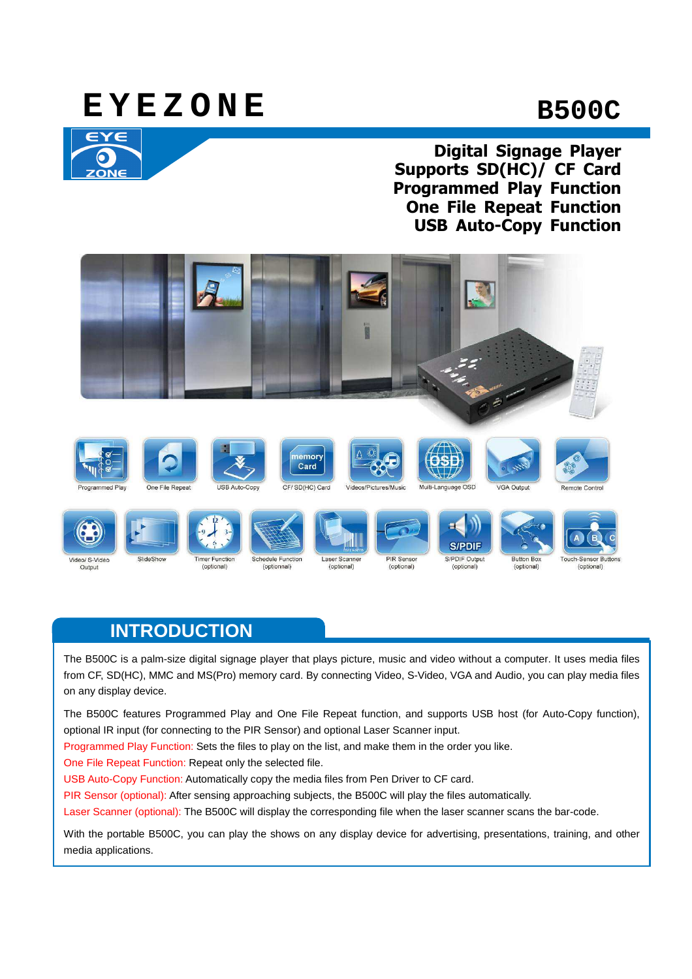# **E Y E Z O N E B500C**



**Digital Signage Player Supports SD(HC)/ CF Card Programmed Play Function One File Repeat Function USB Auto-Copy Function**



## **INTRODUCTION**

The B500C is a palm-size digital signage player that plays picture, music and video without a computer. It uses media files from CF, SD(HC), MMC and MS(Pro) memory card. By connecting Video, S-Video, VGA and Audio, you can play media files on any display device.

The B500C features Programmed Play and One File Repeat function, and supports USB host (for Auto-Copy function), optional IR input (for connecting to the PIR Sensor) and optional Laser Scanner input.

Programmed Play Function: Sets the files to play on the list, and make them in the order you like.

One File Repeat Function: Repeat only the selected file.

USB Auto-Copy Function: Automatically copy the media files from Pen Driver to CF card.

PIR Sensor (optional): After sensing approaching subjects, the B500C will play the files automatically.

Laser Scanner (optional): The B500C will display the corresponding file when the laser scanner scans the bar-code.

With the portable B500C, you can play the shows on any display device for advertising, presentations, training, and other media applications.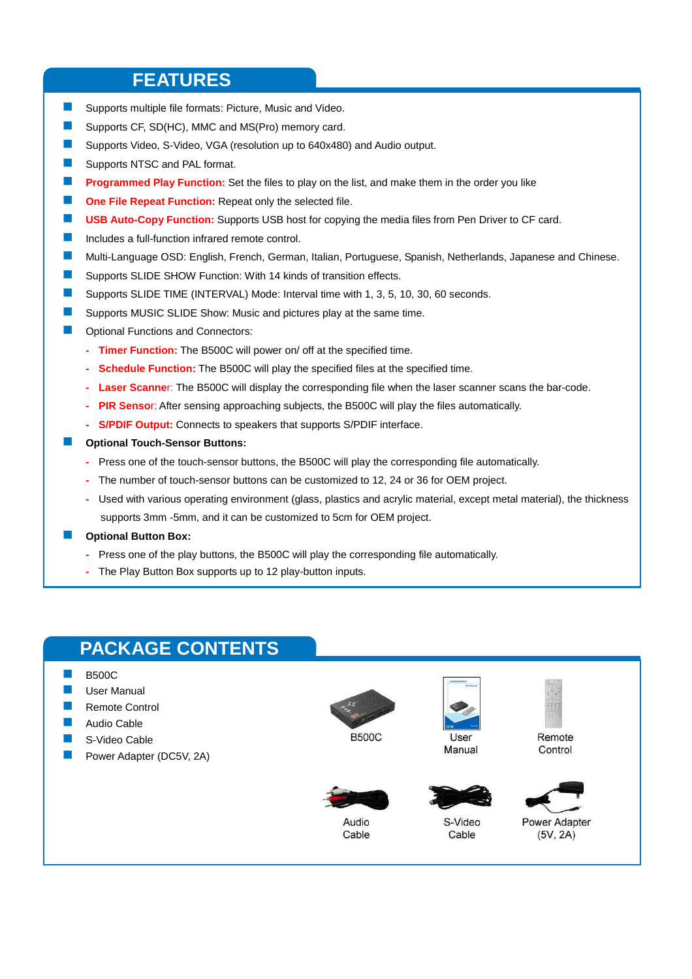#### **FEATURES**

- **Supports multiple file formats: Picture, Music and Video.**
- Supports CF, SD(HC), MMC and MS(Pro) memory card.
- Supports Video, S-Video, VGA (resolution up to 640x480) and Audio output.
- Supports NTSC and PAL format.
- **Programmed Play Function:** Set the files to play on the list, and make them in the order you like
- **Cone File Repeat Function:** Repeat only the selected file.
- **USB Auto-Copy Function:** Supports USB host for copying the media files from Pen Driver to CF card.
- Includes a full-function infrared remote control.
- Multi-Language OSD: English, French, German, Italian, Portuguese, Spanish, Netherlands, Japanese and Chinese.
- **E** Supports SLIDE SHOW Function: With 14 kinds of transition effects.
- Supports SLIDE TIME (INTERVAL) Mode: Interval time with 1, 3, 5, 10, 30, 60 seconds.
- Supports MUSIC SLIDE Show: Music and pictures play at the same time.
- Optional Functions and Connectors:
	- **Timer Function:** The B500C will power on/ off at the specified time.
	- **Schedule Function:** The B500C will play the specified files at the specified time.
	- **Laser Scanne**r: The B500C will display the corresponding file when the laser scanner scans the bar-code.
	- **PIR Senso**r: After sensing approaching subjects, the B500C will play the files automatically.
	- **S/PDIF Output:** Connects to speakers that supports S/PDIF interface.
- **Optional Touch-Sensor Buttons:** 
	- Press one of the touch-sensor buttons, the B500C will play the corresponding file automatically.
	- The number of touch-sensor buttons can be customized to 12, 24 or 36 for OEM project.
	- Used with various operating environment (glass, plastics and acrylic material, except metal material), the thickness supports 3mm -5mm, and it can be customized to 5cm for OEM project.
	- **Optional Button Box:** 
		- Press one of the play buttons, the B500C will play the corresponding file automatically.
		- The Play Button Box supports up to 12 play-button inputs.

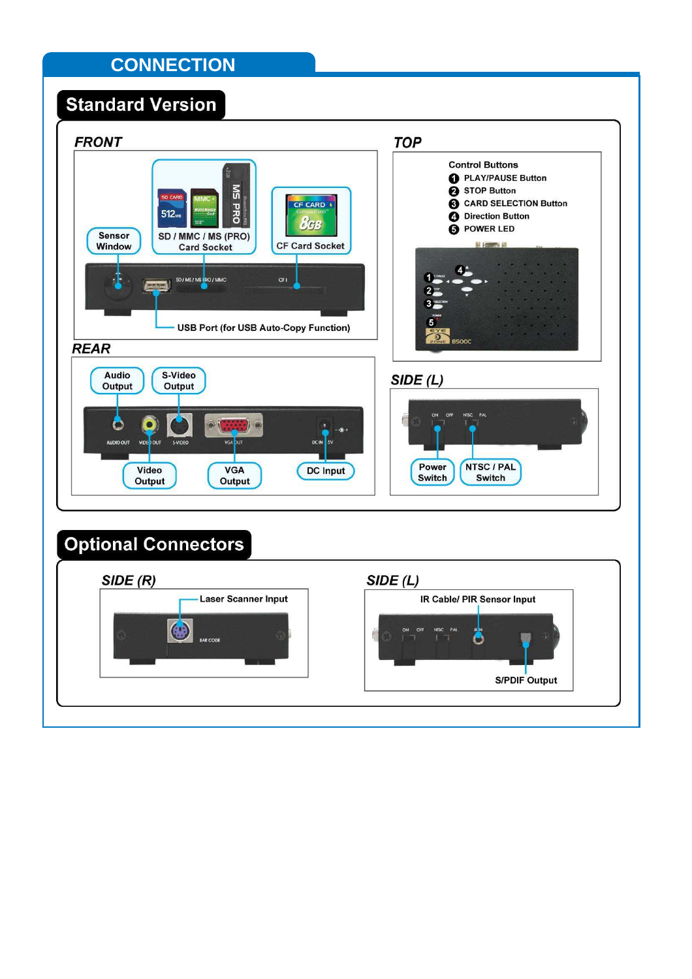## **CONNECTION**

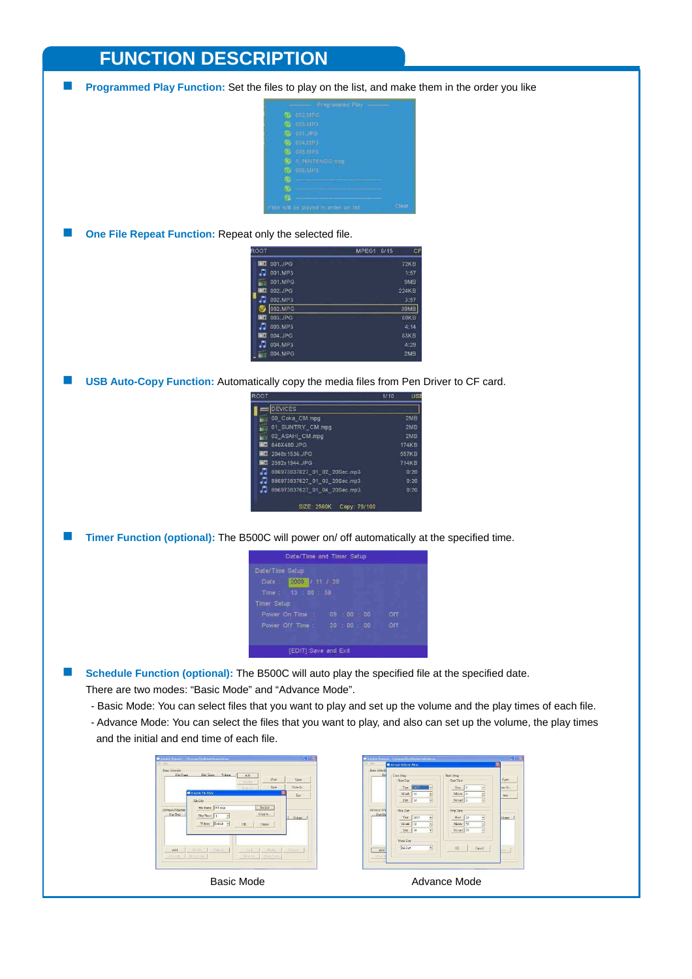### **FUNCTION DESCRIPTION**

**Programmed Play Function:** Set the files to play on the list, and make them in the order you like

|                     | Programmed Play                       |       |
|---------------------|---------------------------------------|-------|
| а,                  | 002.MPG                               |       |
| $\langle 2 \rangle$ | 003.MP3                               |       |
| G.,                 | 001.JPG                               |       |
| <sup>(4)</sup>      | 004.MP3                               |       |
| (5)                 | 005.MP3                               |       |
| 6)                  | 5 NINTENDO.mpg                        |       |
| $\sigma$            | 006.MP3                               |       |
| 6                   |                                       |       |
| 6                   |                                       |       |
| 梅                   |                                       |       |
|                     | Files will be played in order on list | Clear |

**Diam One File Repeat Function:** Repeat only the selected file.

| TOOP            |         | 6/15<br>MPEG1 | CF          |
|-----------------|---------|---------------|-------------|
| ino,            | 001.JPG |               | 72KB        |
| л               | 001.MP3 |               | 1:57        |
| 巡               | 001.MPG |               | 9MB         |
| 間の              | 002.JPG |               | 224KB       |
| л               | 002.MP3 |               | 3:57        |
|                 | 002.MPG |               | 39MB        |
| $\sim$ $\alpha$ | 003.JPG |               | <b>60KB</b> |
| л               | 003.MP3 |               | 4:14        |
| 画の              | 004.JPG |               | 63KB        |
| л               | 004.MP3 |               | 4:29        |
| $\mathbb{R}^n$  | 004.MPG |               | 2MB         |

**USB Auto-Copy Function:** Automatically copy the media files from Pen Driver to CF card.

| <b>TOO?</b> |                                    | 1/10 | USI   |
|-------------|------------------------------------|------|-------|
|             | <b>DEVICES</b>                     |      |       |
|             | 00 Coka CM.mpg                     |      | 2MB   |
| 巡           | 01 SUNTRY CM.mpg                   |      | 2MB   |
| 234         | 02 ASAHI CM.mpg                    |      | 2MB   |
| <b>Into</b> | 640X480.JPG                        |      | 174KB |
| <b>File</b> | 2048x 1536.JPG                     |      | 557KB |
| <b>Do</b>   | 2592x 1944. JPG                    |      | 714KB |
| л           | 886973837627 01 02 20Sec.mp3       |      | 0:20  |
| J           | 886973837627 01 03 20Sec.mp3       |      | 0:20  |
|             | 886973837627 01 04 20Sec.mp3       |      | 0:20  |
|             | <b>SIZE: 2580K</b><br>Сору: 79/100 |      |       |

**Timer Function (optional):** The B500C will power on/ off automatically at the specified time.

| Date/Time and Timer Setup                                                           |                   |
|-------------------------------------------------------------------------------------|-------------------|
| Date/Time Setup<br>Date: 2003 / 11 / 20<br>Time: 13 : 00 : 58<br><b>Timer Setup</b> |                   |
| Power On Time :<br>$09 \t00 \t00$<br>Power Off Time : 20 : 00 : 00                  | Off<br><b>Off</b> |
| <b>IEDITI:Save and Exit</b>                                                         |                   |

**Schedule Function (optional):** The B500C will auto play the specified file at the specified date.

There are two modes: "Basic Mode" and "Advance Mode".

- Basic Mode: You can select files that you want to play and set up the volume and the play times of each file.
- Advance Mode: You can select the files that you want to play, and also can set up the volume, the play times and the initial and end time of each file.

|           |                                                           | <b>LOUNG</b><br>Remide | $N_{\rm P22}$<br>$S_{\rm 200}$ | Ocea-<br>Save Ax    |
|-----------|-----------------------------------------------------------|------------------------|--------------------------------|---------------------|
|           | School of File Edward                                     |                        | 探                              | East                |
| Start Day | Fley Times<br>$\overline{\mathbf{r}}$<br>Volume Default - | <b>OK</b>              | Copy to:<br>Carrel             | Volume <sub>1</sub> |
|           |                                                           |                        |                                |                     |

| R <sub>0</sub>           | Date Setup                    | Tune Setup                              |           |
|--------------------------|-------------------------------|-----------------------------------------|-----------|
|                          | Start Day                     | Start Time                              | Open      |
|                          | Year Luiss<br>ý               | How 10<br>š                             | ino As    |
|                          | 3-footh 12<br>٧               | Muse 10<br>ś                            | Eest      |
|                          | $Day$ $34$<br>X               | Second 0<br>ž.                          |           |
| Advence Sele<br>Start Da | Stop Day                      | Stop Time                               |           |
|                          | ś<br>Year.<br>2007            | Hour 23<br>š                            | Zobanie ( |
|                          | 넹<br>132<br>$M$ coth          | э<br>Minte 50                           |           |
|                          | 3<br>$Day$ $34$               | $\overline{\phantom{a}}$<br>Second 1.59 |           |
|                          | Week Day                      |                                         |           |
| 2.45                     | At Day<br>$\ddot{\mathbf{v}}$ | Cincel<br>OK                            |           |
| Hotel                    |                               |                                         |           |

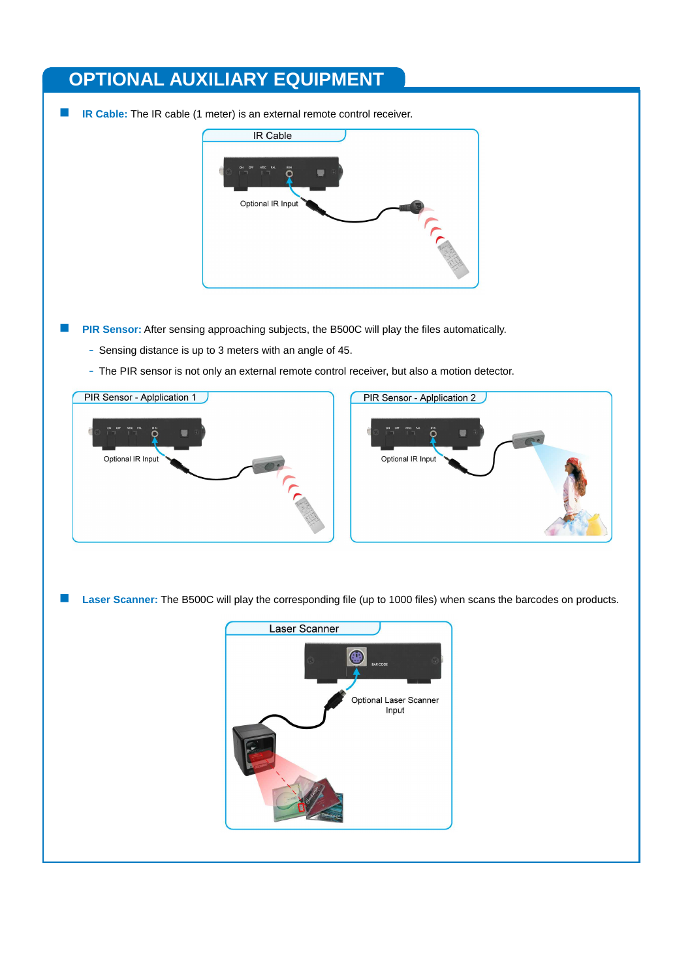## **OPTIONAL AUXILIARY EQUIPMENT**

**IR Cable:** The IR cable (1 meter) is an external remote control receiver.



- **PIR Sensor:** After sensing approaching subjects, the B500C will play the files automatically.
	- Sensing distance is up to 3 meters with an angle of 45.
	- The PIR sensor is not only an external remote control receiver, but also a motion detector.



**Laser Scanner:** The B500C will play the corresponding file (up to 1000 files) when scans the barcodes on products.